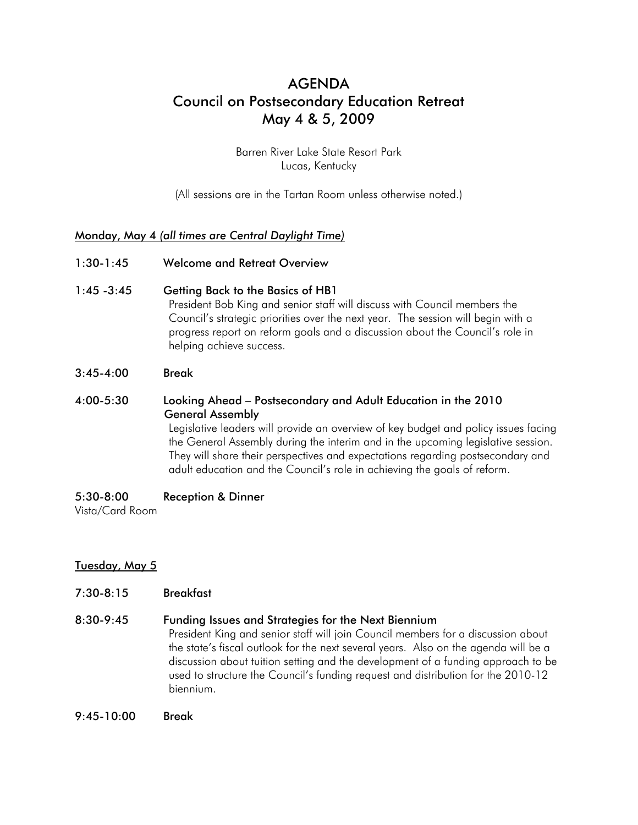# AGENDA Council on Postsecondary Education Retreat May 4 & 5, 2009

Barren River Lake State Resort Park Lucas, Kentucky

(All sessions are in the Tartan Room unless otherwise noted.)

# Monday, May 4 *(all times are Central Daylight Time)*

- 1:30-1:45 Welcome and Retreat Overview
- 1:45 -3:45 Getting Back to the Basics of HB1

President Bob King and senior staff will discuss with Council members the Council's strategic priorities over the next year. The session will begin with a progress report on reform goals and a discussion about the Council's role in helping achieve success.

3:45-4:00 Break

# 4:00-5:30 Looking Ahead – Postsecondary and Adult Education in the 2010 General Assembly

Legislative leaders will provide an overview of key budget and policy issues facing the General Assembly during the interim and in the upcoming legislative session. They will share their perspectives and expectations regarding postsecondary and adult education and the Council's role in achieving the goals of reform.

5:30-8:00 Reception & Dinner

Vista/Card Room

# Tuesday, May 5

7:30-8:15 Breakfast

#### 8:30-9:45 Funding Issues and Strategies for the Next Biennium

President King and senior staff will join Council members for a discussion about the state's fiscal outlook for the next several years. Also on the agenda will be a discussion about tuition setting and the development of a funding approach to be used to structure the Council's funding request and distribution for the 2010-12 biennium.

9:45-10:00 Break